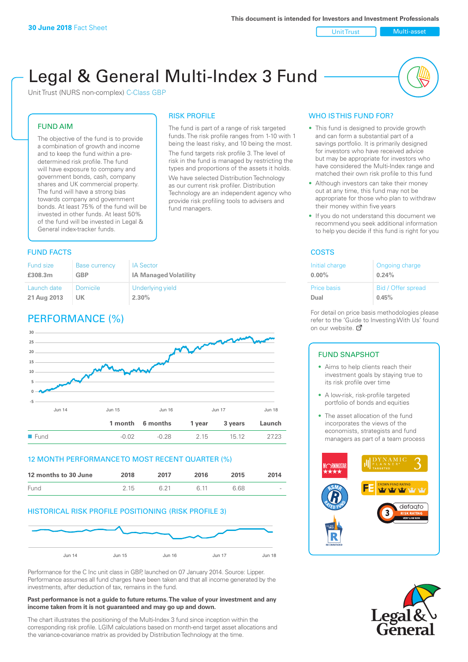Unit Trust Nulti-asset

# Legal & General Multi-Index 3 Fund

RISK PROFILE

fund managers.

The fund is part of a range of risk targeted funds. The risk profile ranges from 1-10 with 1 being the least risky, and 10 being the most. The fund targets risk profile 3. The level of risk in the fund is managed by restricting the types and proportions of the assets it holds. We have selected Distribution Technology as our current risk profiler. Distribution Technology are an independent agency who provide risk profiling tools to advisers and

Unit Trust (NURS non-complex) C-Class GBP

## FUND AIM

The objective of the fund is to provide a combination of growth and income and to keep the fund within a predetermined risk profile. The fund will have exposure to company and government bonds, cash, company shares and UK commercial property. The fund will have a strong bias towards company and government bonds. At least 75% of the fund will be invested in other funds. At least 50% of the fund will be invested in Legal & General index-tracker funds.

## **FUND FACTS** COSTS

#### Fund size **£308.3m** Base currency **GBP** IA Sector **IA Managed Volatility** Launch date **21 Aug 2013** Domicile **UK** Underlying yield **2.30%**

## PERFORMANCE (%)



## 12 MONTH PERFORMANCE TO MOST RECENT QUARTER (%)

| 12 months to 30 June | 2018 | 2017 | 2016 | 2015 | 2014   |
|----------------------|------|------|------|------|--------|
| Fund                 | 2.15 | G 21 | G 11 | 6.68 | $\sim$ |

## HISTORICAL RISK PROFILE POSITIONING (RISK PROFILE 3)



Performance for the C Inc unit class in GBP, launched on 07 January 2014. Source: Lipper. Performance assumes all fund charges have been taken and that all income generated by the investments, after deduction of tax, remains in the fund.

#### **Past performance is not a guide to future returns. The value of your investment and any income taken from it is not guaranteed and may go up and down.**

The chart illustrates the positioning of the Multi-Index 3 fund since inception within the corresponding risk profile. LGIM calculations based on month-end target asset allocations and the variance-covariance matrix as provided by Distribution Technology at the time.

## WHO IS THIS FUND FOR?

- This fund is designed to provide growth and can form a substantial part of a savings portfolio. It is primarily designed for investors who have received advice but may be appropriate for investors who have considered the Multi-Index range and matched their own risk profile to this fund
- Although investors can take their money out at any time, this fund may not be appropriate for those who plan to withdraw their money within five years
- If you do not understand this document we recommend you seek additional information to help you decide if this fund is right for you

| Initial charge | Ongoing charge     |
|----------------|--------------------|
| $0.00\%$       | 0.24%              |
| Price basis    | Bid / Offer spread |
| Dual           | 0.45%              |

For detail on price basis methodologies please refer to the 'Gu[ide t](http://www.legalandgeneral.com/guide)o Investing With Us' found on our website. *C* 

## FUND SNAPSHOT

- Aims to help clients reach their investment goals by staying true to its risk profile over time
- A low-risk, risk-profile targeted portfolio of bonds and equities
- The asset allocation of the fund incorporates the views of the economists, strategists and fund managers as part of a team process



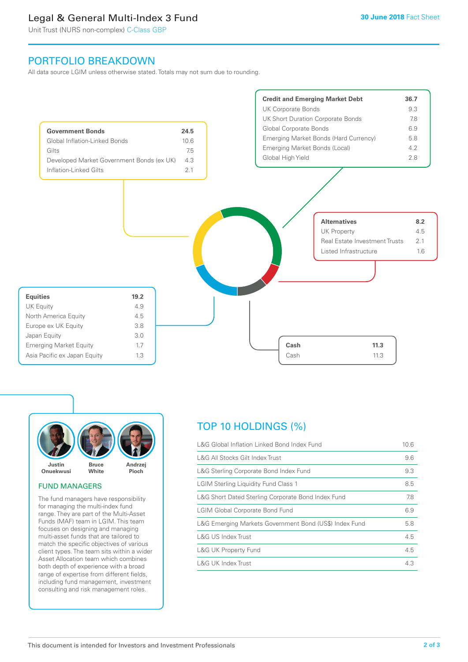## Legal & General Multi-Index 3 Fund

Unit Trust (NURS non-complex) C-Class GBP

## PORTFOLIO BREAKDOWN

All data source LGIM unless otherwise stated. Totals may not sum due to rounding.





## FUND MANAGERS

The fund managers have responsibility for managing the multi-index fund range. They are part of the Multi-Asset Funds (MAF) team in LGIM. This team focuses on designing and managing multi-asset funds that are tailored to match the specific objectives of various client types. The team sits within a wider Asset Allocation team which combines both depth of experience with a broad range of expertise from different fields, including fund management, investment consulting and risk management roles.

## TOP 10 HOLDINGS (%)

| L&G Global Inflation Linked Bond Index Fund            | 10.6 |
|--------------------------------------------------------|------|
| L&G All Stocks Gilt Index Trust                        | 9.6  |
| L&G Sterling Corporate Bond Index Fund                 | 9.3  |
| <b>LGIM Sterling Liquidity Fund Class 1</b>            | 8.5  |
| L&G Short Dated Sterling Corporate Bond Index Fund     | 7.8  |
| <b>LGIM Global Corporate Bond Fund</b>                 | 6.9  |
| L&G Emerging Markets Government Bond (US\$) Index Fund | 5.8  |
| L&G US Index Trust                                     | 4.5  |
| <b>L&amp;G UK Property Fund</b>                        | 4.5  |
| L&G UK Index Trust                                     | 4.3  |